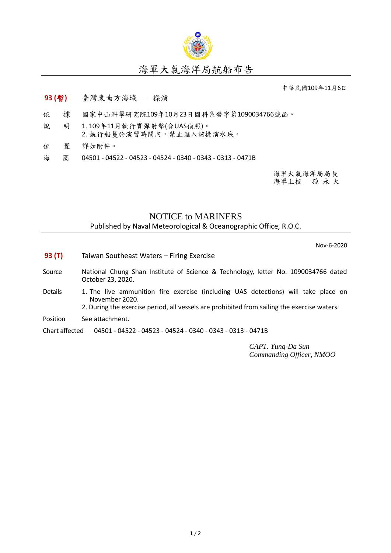

## 海軍大氣海洋局航船布告

中華民國109年11月6日

## **93 (**暫**)** 臺灣東南方海域 - 操演

- 依 據 國家中山科學研究院109年10月23日國科系發字第1090034766號函。
- 說 明 1. 109年11月執行實彈射擊(含UAS偵照)。 2. 航行船隻於演習時間內,禁止進入該操演水域。
- 位 置 詳如附件。
- 海 圖 04501 04522 04523 04524 0340 0343 0313 0471B

海軍大氣海洋局局長 海軍上校 孫 永 大

## NOTICE to MARINERS

Published by Naval Meteorological & Oceanographic Office, R.O.C.

Nov-6-2020

- **93 (T)** Taiwan Southeast Waters Firing Exercise
- Source National Chung Shan Institute of Science & Technology, letter No. 1090034766 dated October 23, 2020.
- Details 1. The live ammunition fire exercise (including UAS detections) will take place on November 2020.
	- 2. During the exercise period, all vessels are prohibited from sailing the exercise waters.
- Position See attachment.

Chart affected 04501 - 04522 - 04523 - 04524 - 0340 - 0343 - 0313 - 0471B

*CAPT. Yung-Da Sun Commanding Officer, NMOO*